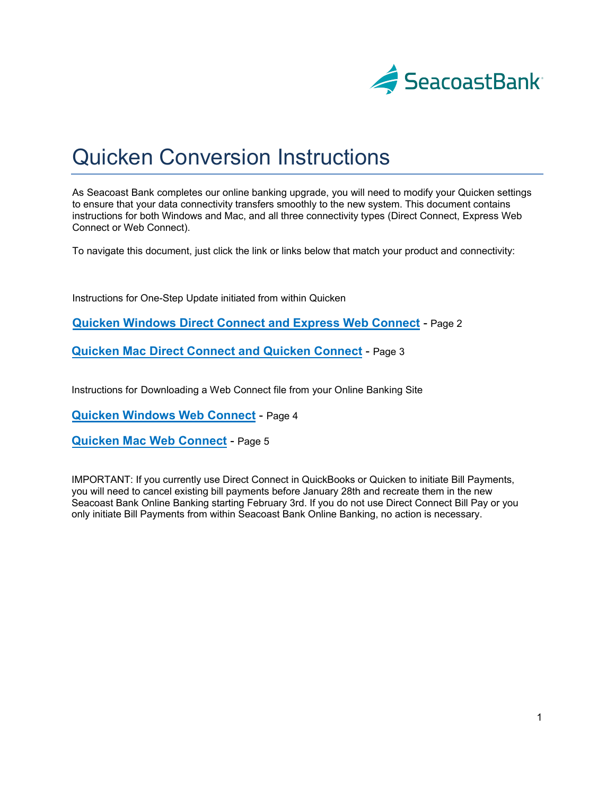

# Quicken Conversion Instructions

As Seacoast Bank completes our online banking upgrade, you will need to modify your Quicken settings to ensure that your data connectivity transfers smoothly to the new system. This document contains instructions for both Windows and Mac, and all three connectivity types (Direct Connect, Express Web Connect or Web Connect).

To navigate this document, just click the link or links below that match your product and connectivity:

Instructions for One-Step Update initiated from within Quicken

**Quicken Windows Direct Connect and Express Web Connect** - Page 2

**Quicken Mac Direct [Connect and Quicken Connect](#page-1-0)** - Page 3

Instructions for Downloading [a Web Connect file from your Online](#page-2-0) Banking Site

**Quicken Windows Web Connect** - Page 4

**[Quicken Mac Web Connect](#page-3-0)** - Page 5

[IMPORTANT: If you currently use D](#page-4-0)irect Connect in QuickBooks or Quicken to initiate Bill Payments, you will need to cancel existing bill payments before January 28th and recreate them in the new Seacoast Bank Online Banking starting February 3rd. If you do not use Direct Connect Bill Pay or you only initiate Bill Payments from within Seacoast Bank Online Banking, no action is necessary.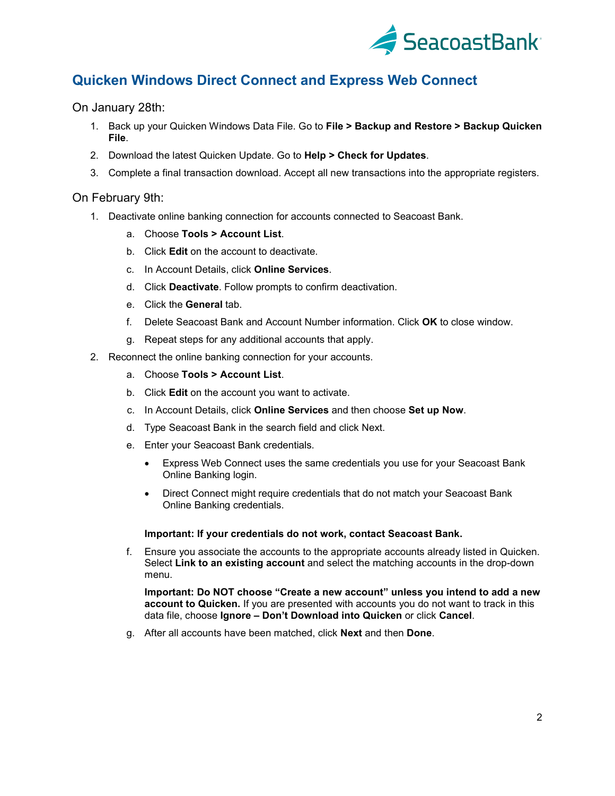

# <span id="page-1-0"></span>**Quicken Windows Direct Connect and Express Web Connect**

On January 28th:

- 1. Back up your Quicken Windows Data File. Go to **File > Backup and Restore > Backup Quicken File**.
- 2. Download the latest Quicken Update. Go to **Help > Check for Updates**.
- 3. Complete a final transaction download. Accept all new transactions into the appropriate registers.

### On February 9th:

- 1. Deactivate online banking connection for accounts connected to Seacoast Bank.
	- a. Choose **Tools > Account List**.
	- b. Click **Edit** on the account to deactivate.
	- c. In Account Details, click **Online Services**.
	- d. Click **Deactivate**. Follow prompts to confirm deactivation.
	- e. Click the **General** tab.
	- f. Delete Seacoast Bank and Account Number information. Click **OK** to close window.
	- g. Repeat steps for any additional accounts that apply.
- 2. Reconnect the online banking connection for your accounts.
	- a. Choose **Tools > Account List**.
	- b. Click **Edit** on the account you want to activate.
	- c. In Account Details, click **Online Services** and then choose **Set up Now**.
	- d. Type Seacoast Bank in the search field and click Next.
	- e. Enter your Seacoast Bank credentials.
		- Express Web Connect uses the same credentials you use for your Seacoast Bank Online Banking login.
		- Direct Connect might require credentials that do not match your Seacoast Bank Online Banking credentials.

#### **Important: If your credentials do not work, contact Seacoast Bank.**

f. Ensure you associate the accounts to the appropriate accounts already listed in Quicken. Select **Link to an existing account** and select the matching accounts in the drop-down menu.

**Important: Do NOT choose "Create a new account" unless you intend to add a new account to Quicken.** If you are presented with accounts you do not want to track in this data file, choose **Ignore – Don't Download into Quicken** or click **Cancel**.

g. After all accounts have been matched, click **Next** and then **Done**.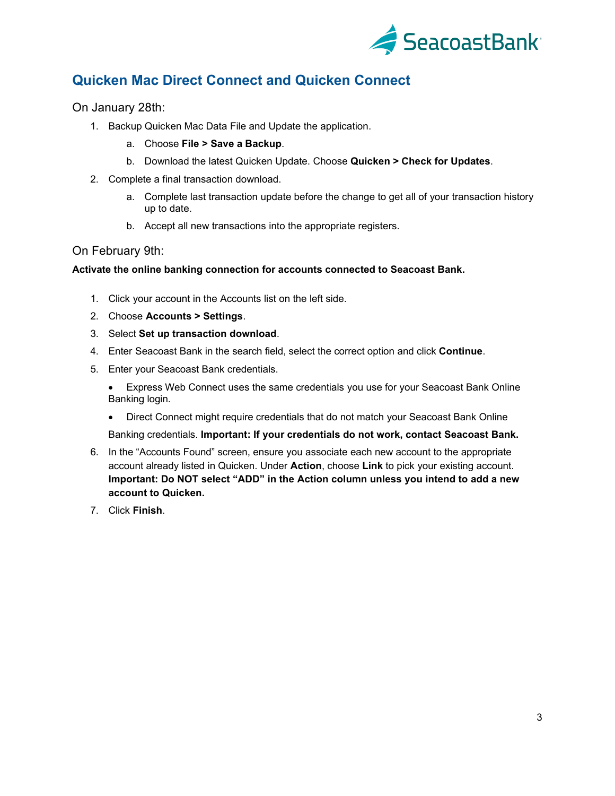

# <span id="page-2-0"></span>**Quicken Mac Direct Connect and Quicken Connect**

On January 28th:

- 1. Backup Quicken Mac Data File and Update the application.
	- a. Choose **File > Save a Backup**.
	- b. Download the latest Quicken Update. Choose **Quicken > Check for Updates**.
- 2. Complete a final transaction download.
	- a. Complete last transaction update before the change to get all of your transaction history up to date.
	- b. Accept all new transactions into the appropriate registers.

### On February 9th:

#### **Activate the online banking connection for accounts connected to Seacoast Bank.**

- 1. Click your account in the Accounts list on the left side.
- 2. Choose **Accounts > Settings**.
- 3. Select **Set up transaction download**.
- 4. Enter Seacoast Bank in the search field, select the correct option and click **Continue**.
- 5. Enter your Seacoast Bank credentials.

• Express Web Connect uses the same credentials you use for your Seacoast Bank Online Banking login.

- Direct Connect might require credentials that do not match your Seacoast Bank Online Banking credentials. **Important: If your credentials do not work, contact Seacoast Bank.**
- 6. In the "Accounts Found" screen, ensure you associate each new account to the appropriate account already listed in Quicken. Under **Action**, choose **Link** to pick your existing account. **Important: Do NOT select "ADD" in the Action column unless you intend to add a new account to Quicken.**
- 7. Click **Finish**.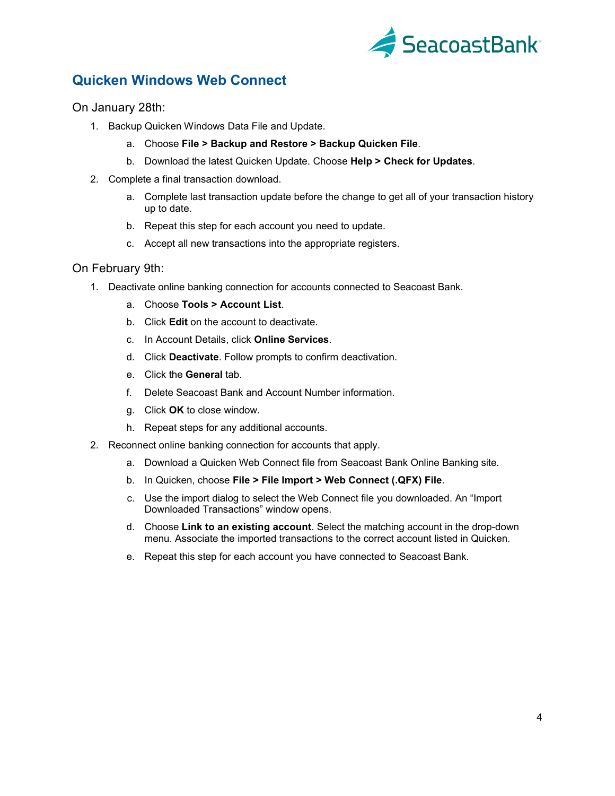

### <span id="page-3-0"></span>**Quicken Windows Web Connect**

On January 28th:

- 1. Backup Quicken Windows Data File and Update.
	- a. Choose **File > Backup and Restore > Backup Quicken File**.
	- b. Download the latest Quicken Update. Choose **Help > Check for Updates**.
- 2. Complete a final transaction download.
	- a. Complete last transaction update before the change to get all of your transaction history up to date.
	- b. Repeat this step for each account you need to update.
	- c. Accept all new transactions into the appropriate registers.

#### On February 9th:

- 1. Deactivate online banking connection for accounts connected to Seacoast Bank.
	- a. Choose **Tools > Account List**.
	- b. Click **Edit** on the account to deactivate.
	- c. In Account Details, click **Online Services**.
	- d. Click **Deactivate**. Follow prompts to confirm deactivation.
	- e. Click the **General** tab.
	- f. Delete Seacoast Bank and Account Number information.
	- g. Click **OK** to close window.
	- h. Repeat steps for any additional accounts.
- 2. Reconnect online banking connection for accounts that apply.
	- a. Download a Quicken Web Connect file from Seacoast Bank Online Banking site.
	- b. In Quicken, choose **File > File Import > Web Connect (.QFX) File**.
	- c. Use the import dialog to select the Web Connect file you downloaded. An "Import Downloaded Transactions" window opens.
	- d. Choose **Link to an existing account**. Select the matching account in the drop-down menu. Associate the imported transactions to the correct account listed in Quicken.
	- e. Repeat this step for each account you have connected to Seacoast Bank.